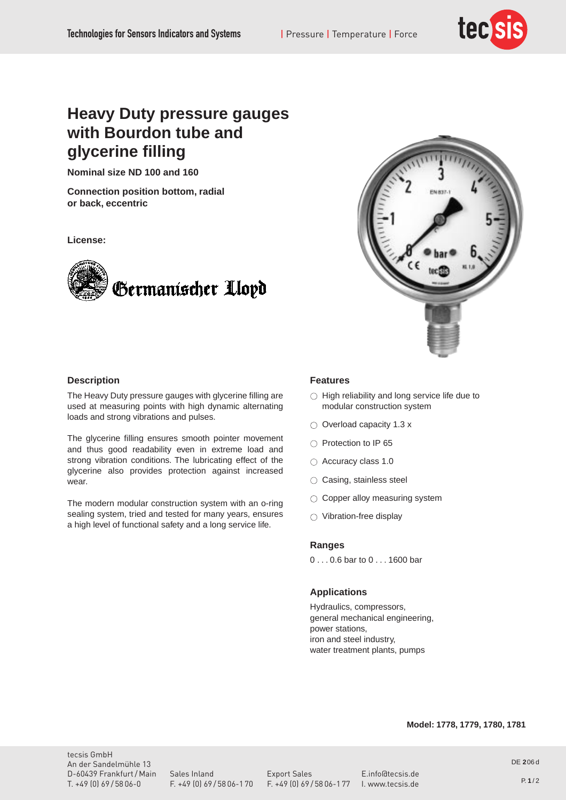

# **Heavy Duty pressure gauges with Bourdon tube and glycerine filling**

**Nominal size ND 100 and 160**

**Connection position bottom, radial or back, eccentric**

**License:**





# **Description**

The Heavy Duty pressure gauges with glycerine filling are used at measuring points with high dynamic alternating loads and strong vibrations and pulses.

The glycerine filling ensures smooth pointer movement and thus good readability even in extreme load and strong vibration conditions. The lubricating effect of the glycerine also provides protection against increased wear.

The modern modular construction system with an o-ring sealing system, tried and tested for many years, ensures a high level of functional safety and a long service life.

## **Features**

- $\circlearrowright$  High reliability and long service life due to modular construction system
- $\circlearrowright$  Overload capacity 1.3 x
- $\circ$  Protection to IP 65
- $\circ$  Accuracy class 1.0
- $\circlearrowright$  Casing, stainless steel
- $\circlearrowright$  Copper alloy measuring system
- $\circlearrowright$  Vibration-free display

#### **Ranges**

0 . . . 0.6 bar to 0 . . . 1600 bar

### **Applications**

Hydraulics, compressors, general mechanical engineering, power stations, iron and steel industry, water treatment plants, pumps

# **Model: 1778, 1779, 1780, 1781**

tecsis GmbH An der Sandelmühle 13 D-60439 Frankfurt / Main Sales Inland Export Sales E.info@tecsis.de<br>T. +49 (0) 69 / 58 06-0 F. +49 (0) 69 / 58 06-1 70 F. +49 (0) 69 / 58 06-1 77 I. www.tecsis.de

T. +49 (0) 69 / 58 06-0 F. +49 (0) 69 / 58 06-1 70 F. +49 (0) 69 / 58 06-1 77 I. www.tecsis.de